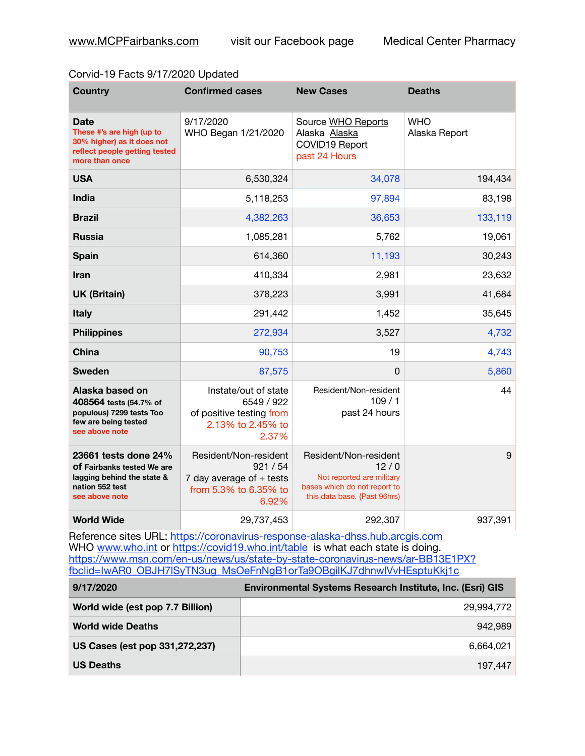## Corvid-19 Facts 9/17/2020 Updated

| <b>Country</b>                                                                                                            | <b>Confirmed cases</b>                                                                            | <b>New Cases</b>                                                                                                           | <b>Deaths</b>               |
|---------------------------------------------------------------------------------------------------------------------------|---------------------------------------------------------------------------------------------------|----------------------------------------------------------------------------------------------------------------------------|-----------------------------|
| <b>Date</b><br>These #'s are high (up to<br>30% higher) as it does not<br>reflect people getting tested<br>more than once | 9/17/2020<br>WHO Began 1/21/2020                                                                  | Source WHO Reports<br>Alaska Alaska<br>COVID19 Report<br>past 24 Hours                                                     | <b>WHO</b><br>Alaska Report |
| <b>USA</b>                                                                                                                | 6,530,324                                                                                         | 34,078                                                                                                                     | 194,434                     |
| India                                                                                                                     | 5,118,253                                                                                         | 97,894                                                                                                                     | 83,198                      |
| <b>Brazil</b>                                                                                                             | 4,382,263                                                                                         | 36,653                                                                                                                     | 133,119                     |
| <b>Russia</b>                                                                                                             | 1,085,281                                                                                         | 5,762                                                                                                                      | 19,061                      |
| <b>Spain</b>                                                                                                              | 614,360                                                                                           | 11,193                                                                                                                     | 30,243                      |
| Iran                                                                                                                      | 410,334                                                                                           | 2,981                                                                                                                      | 23,632                      |
| <b>UK (Britain)</b>                                                                                                       | 378,223                                                                                           | 3,991                                                                                                                      | 41,684                      |
| <b>Italy</b>                                                                                                              | 291,442                                                                                           | 1,452                                                                                                                      | 35,645                      |
| <b>Philippines</b>                                                                                                        | 272,934                                                                                           | 3,527                                                                                                                      | 4,732                       |
| China                                                                                                                     | 90,753                                                                                            | 19                                                                                                                         | 4,743                       |
| <b>Sweden</b>                                                                                                             | 87,575                                                                                            | 0                                                                                                                          | 5,860                       |
| Alaska based on<br>408564 tests (54.7% of<br>populous) 7299 tests Too<br>few are being tested<br>see above note           | Instate/out of state<br>6549 / 922<br>of positive testing from<br>2.13% to 2.45% to<br>2.37%      | Resident/Non-resident<br>109/1<br>past 24 hours                                                                            | 44                          |
| 23661 tests done 24%<br>Of Fairbanks tested We are<br>lagging behind the state &<br>nation 552 test<br>see above note     | Resident/Non-resident<br>921 / 54<br>7 day average of $+$ tests<br>from 5.3% to 6.35% to<br>6.92% | Resident/Non-resident<br>12/0<br>Not reported are military<br>bases which do not report to<br>this data base. {Past 96hrs) | 9                           |
| <b>World Wide</b>                                                                                                         | 29,737,453                                                                                        | 292,307                                                                                                                    | 937,391                     |

Reference sites URL: <https://coronavirus-response-alaska-dhss.hub.arcgis.com> WHO [www.who.int](http://www.who.int) or <https://covid19.who.int/table> is what each state is doing. [https://www.msn.com/en-us/news/us/state-by-state-coronavirus-news/ar-BB13E1PX?](https://www.msn.com/en-us/news/us/state-by-state-coronavirus-news/ar-BB13E1PX?fbclid=IwAR0_OBJH7lSyTN3ug_MsOeFnNgB1orTa9OBgilKJ7dhnwlVvHEsptuKkj1c) [fbclid=IwAR0\\_OBJH7lSyTN3ug\\_MsOeFnNgB1orTa9OBgilKJ7dhnwlVvHEsptuKkj1c](https://www.msn.com/en-us/news/us/state-by-state-coronavirus-news/ar-BB13E1PX?fbclid=IwAR0_OBJH7lSyTN3ug_MsOeFnNgB1orTa9OBgilKJ7dhnwlVvHEsptuKkj1c)

| 9/17/2020                        | <b>Environmental Systems Research Institute, Inc. (Esri) GIS</b> |
|----------------------------------|------------------------------------------------------------------|
| World wide (est pop 7.7 Billion) | 29.994.772                                                       |
| <b>World wide Deaths</b>         | 942.989                                                          |
| US Cases (est pop 331,272,237)   | 6.664.021                                                        |
| <b>US Deaths</b>                 | 197.447                                                          |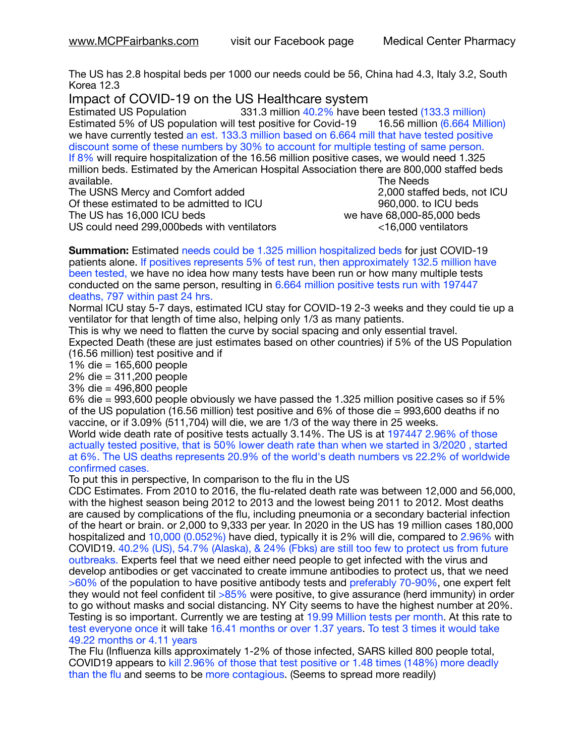The US has 2.8 hospital beds per 1000 our needs could be 56, China had 4.3, Italy 3.2, South Korea 12.3

Impact of COVID-19 on the US Healthcare system<br>Estimated US Population 331.3 million 40.2% have be

331.3 million 40.2% have been tested (133.3 million) Estimated 5% of US population will test positive for Covid-19 16.56 million (6.664 Million) we have currently tested an est. 133.3 million based on 6.664 mill that have tested positive discount some of these numbers by 30% to account for multiple testing of same person. If 8% will require hospitalization of the 16.56 million positive cases, we would need 1.325 million beds. Estimated by the American Hospital Association there are 800,000 staffed beds available. **The Needs Contract Contract Contract Contract Contract Contract Contract Contract Contract Contract Contract Contract Contract Contract Contract Contract Contract Contract Contract Contract Contract Contract** 

Of these estimated to be admitted to ICU **860,000**. to ICU beds The US has  $16,000$  ICU beds  $\sim$   $\sim$   $\sim$   $\sim$   $\sim$  we have 68,000-85,000 beds US could need 299,000beds with ventilators <16,000 ventilators

The USNS Mercy and Comfort added 2,000 staffed beds, not ICU

**Summation:** Estimated needs could be 1.325 million hospitalized beds for just COVID-19 patients alone. If positives represents 5% of test run, then approximately 132.5 million have been tested, we have no idea how many tests have been run or how many multiple tests conducted on the same person, resulting in 6.664 million positive tests run with 197447 deaths, 797 within past 24 hrs.

Normal ICU stay 5-7 days, estimated ICU stay for COVID-19 2-3 weeks and they could tie up a ventilator for that length of time also, helping only 1/3 as many patients.

This is why we need to flatten the curve by social spacing and only essential travel. Expected Death (these are just estimates based on other countries) if 5% of the US Population (16.56 million) test positive and if

1% die = 165,600 people

2% die = 311,200 people

3% die = 496,800 people

6% die = 993,600 people obviously we have passed the 1.325 million positive cases so if 5% of the US population (16.56 million) test positive and 6% of those die = 993,600 deaths if no vaccine, or if 3.09% (511,704) will die, we are 1/3 of the way there in 25 weeks.

World wide death rate of positive tests actually 3.14%. The US is at 197447 2.96% of those actually tested positive, that is 50% lower death rate than when we started in 3/2020 , started at 6%. The US deaths represents 20.9% of the world's death numbers vs 22.2% of worldwide confirmed cases.

To put this in perspective, In comparison to the flu in the US

CDC Estimates. From 2010 to 2016, the flu-related death rate was between 12,000 and 56,000, with the highest season being 2012 to 2013 and the lowest being 2011 to 2012. Most deaths are caused by complications of the flu, including pneumonia or a secondary bacterial infection of the heart or brain. or 2,000 to 9,333 per year. In 2020 in the US has 19 million cases 180,000 hospitalized and 10,000 (0.052%) have died, typically it is 2% will die, compared to 2.96% with COVID19. 40.2% (US), 54.7% (Alaska), & 24% (Fbks) are still too few to protect us from future outbreaks. Experts feel that we need either need people to get infected with the virus and develop antibodies or get vaccinated to create immune antibodies to protect us, that we need >60% of the population to have positive antibody tests and preferably 70-90%, one expert felt they would not feel confident til >85% were positive, to give assurance (herd immunity) in order to go without masks and social distancing. NY City seems to have the highest number at 20%. Testing is so important. Currently we are testing at 19.99 Million tests per month. At this rate to test everyone once it will take 16.41 months or over 1.37 years. To test 3 times it would take 49.22 months or 4.11 years

The Flu (Influenza kills approximately 1-2% of those infected, SARS killed 800 people total, COVID19 appears to kill 2.96% of those that test positive or 1.48 times (148%) more deadly than the flu and seems to be more contagious. (Seems to spread more readily)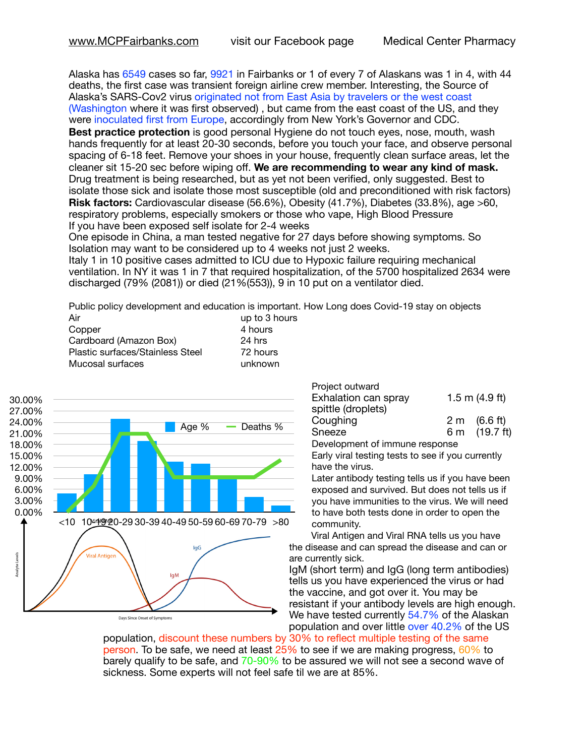Alaska has 6549 cases so far, 9921 in Fairbanks or 1 of every 7 of Alaskans was 1 in 4, with 44 deaths, the first case was transient foreign airline crew member. Interesting, the Source of Alaska's SARS-Cov2 virus originated not from East Asia by travelers or the west coast (Washington where it was first observed) , but came from the east coast of the US, and they were inoculated first from Europe, accordingly from New York's Governor and CDC.

**Best practice protection** is good personal Hygiene do not touch eyes, nose, mouth, wash hands frequently for at least 20-30 seconds, before you touch your face, and observe personal spacing of 6-18 feet. Remove your shoes in your house, frequently clean surface areas, let the cleaner sit 15-20 sec before wiping off. **We are recommending to wear any kind of mask.** Drug treatment is being researched, but as yet not been verified, only suggested. Best to isolate those sick and isolate those most susceptible (old and preconditioned with risk factors) **Risk factors:** Cardiovascular disease (56.6%), Obesity (41.7%), Diabetes (33.8%), age >60, respiratory problems, especially smokers or those who vape, High Blood Pressure If you have been exposed self isolate for 2-4 weeks

One episode in China, a man tested negative for 27 days before showing symptoms. So Isolation may want to be considered up to 4 weeks not just 2 weeks.

Italy 1 in 10 positive cases admitted to ICU due to Hypoxic failure requiring mechanical ventilation. In NY it was 1 in 7 that required hospitalization, of the 5700 hospitalized 2634 were discharged (79% (2081)) or died (21%(553)), 9 in 10 put on a ventilator died.

Public policy development and education is important. How Long does Covid-19 stay on objects

| Air                              | up to 3 hours |
|----------------------------------|---------------|
| Copper                           | 4 hours       |
| Cardboard (Amazon Box)           | 24 hrs        |
| Plastic surfaces/Stainless Steel | 72 hours      |
| Mucosal surfaces                 | unknown       |



| Project outward      |                  |                        |
|----------------------|------------------|------------------------|
| Exhalation can spray | 1.5 m $(4.9$ ft) |                        |
| spittle (droplets)   |                  |                        |
| Coughing             |                  | $2 \text{ m}$ (6.6 ft) |
| Sneeze               |                  | 6 m (19.7 ft)          |

Development of immune response

Early viral testing tests to see if you currently have the virus.

Later antibody testing tells us if you have been exposed and survived. But does not tells us if you have immunities to the virus. We will need to have both tests done in order to open the community.

Viral Antigen and Viral RNA tells us you have the disease and can spread the disease and can or are currently sick.

IgM (short term) and IgG (long term antibodies) tells us you have experienced the virus or had the vaccine, and got over it. You may be resistant if your antibody levels are high enough. We have tested currently 54.7% of the Alaskan population and over little over 40.2% of the US

population, discount these numbers by 30% to reflect multiple testing of the same person. To be safe, we need at least 25% to see if we are making progress, 60% to barely qualify to be safe, and 70-90% to be assured we will not see a second wave of sickness. Some experts will not feel safe til we are at 85%.